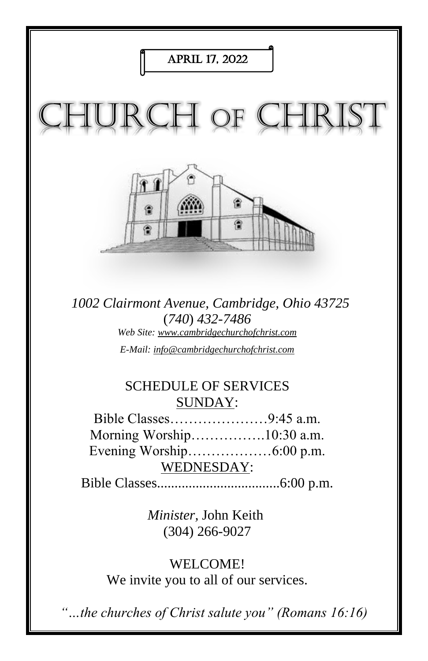

*1002 Clairmont Avenue, Cambridge, Ohio 43725* (*740*) *432-7486 Web Site: www.cambridgechurchofchrist.com E-Mail: info@cambridgechurchofchrist.com*

# SCHEDULE OF SERVICES SUNDAY:

Bible Classes…………………9:45 a.m. Morning Worship…………….10:30 a.m. Evening Worship………………6:00 p.m. WEDNESDAY:

Bible Classes...................................6:00 p.m.

*Minister,* John Keith (304) 266-9027

WELCOME! We invite you to all of our services.

*"…the churches of Christ salute you" (Romans 16:16)*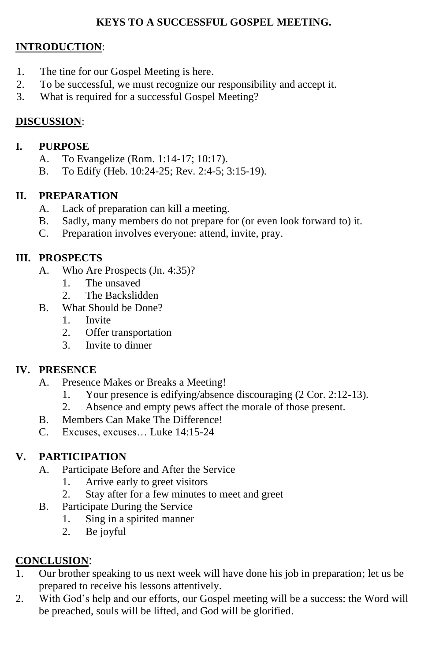# **KEYS TO A SUCCESSFUL GOSPEL MEETING.**

## **INTRODUCTION**:

- 1. The tine for our Gospel Meeting is here.
- 2. To be successful, we must recognize our responsibility and accept it.
- 3. What is required for a successful Gospel Meeting?

## **DISCUSSION**:

#### **I. PURPOSE**

- A. To Evangelize (Rom. 1:14-17; 10:17).
- B. To Edify (Heb. 10:24-25; Rev. 2:4-5; 3:15-19).

## **II. PREPARATION**

- A. Lack of preparation can kill a meeting.
- B. Sadly, many members do not prepare for (or even look forward to) it.
- C. Preparation involves everyone: attend, invite, pray.

## **III. PROSPECTS**

- A. Who Are Prospects (Jn. 4:35)?
	- 1. The unsaved
	- 2. The Backslidden
- B. What Should be Done?
	- 1. Invite
	- 2. Offer transportation
	- 3. Invite to dinner

#### **IV. PRESENCE**

- A. Presence Makes or Breaks a Meeting!
	- 1. Your presence is edifying/absence discouraging (2 Cor. 2:12-13).
	- 2. Absence and empty pews affect the morale of those present.
- B. Members Can Make The Difference!
- C. Excuses, excuses… Luke 14:15-24

#### **V. PARTICIPATION**

- A. Participate Before and After the Service
	- 1. Arrive early to greet visitors
	- 2. Stay after for a few minutes to meet and greet
- B. Participate During the Service
	- 1. Sing in a spirited manner
		- 2. Be joyful

# **CONCLUSION**:

- 1. Our brother speaking to us next week will have done his job in preparation; let us be prepared to receive his lessons attentively.
- 2. With God's help and our efforts, our Gospel meeting will be a success: the Word will be preached, souls will be lifted, and God will be glorified.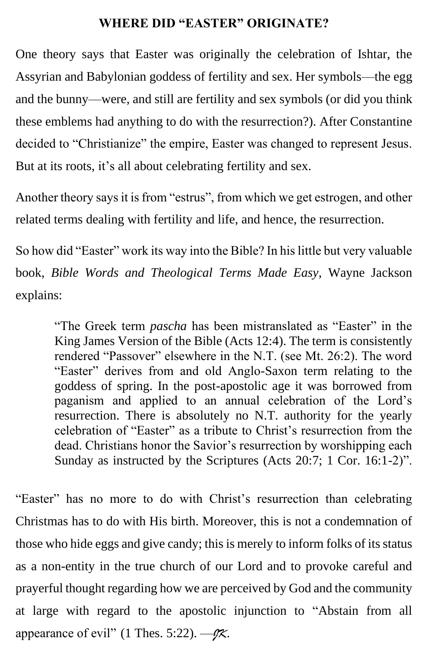# **WHERE DID "EASTER" ORIGINATE?**

One theory says that Easter was originally the celebration of Ishtar, the Assyrian and Babylonian goddess of fertility and sex. Her symbols—the egg and the bunny—were, and still are fertility and sex symbols (or did you think these emblems had anything to do with the resurrection?). After Constantine decided to "Christianize" the empire, Easter was changed to represent Jesus. But at its roots, it's all about celebrating fertility and sex.

Another theory says it is from "estrus", from which we get estrogen, and other related terms dealing with fertility and life, and hence, the resurrection.

So how did "Easter" work its way into the Bible? In his little but very valuable book, *Bible Words and Theological Terms Made Easy*, Wayne Jackson explains:

"The Greek term *pascha* has been mistranslated as "Easter" in the King James Version of the Bible (Acts 12:4). The term is consistently rendered "Passover" elsewhere in the N.T. (see Mt. 26:2). The word "Easter" derives from and old Anglo-Saxon term relating to the goddess of spring. In the post-apostolic age it was borrowed from paganism and applied to an annual celebration of the Lord's resurrection. There is absolutely no N.T. authority for the yearly celebration of "Easter" as a tribute to Christ's resurrection from the dead. Christians honor the Savior's resurrection by worshipping each Sunday as instructed by the Scriptures (Acts 20:7; 1 Cor. 16:1-2)".

"Easter" has no more to do with Christ's resurrection than celebrating Christmas has to do with His birth. Moreover, this is not a condemnation of those who hide eggs and give candy; this is merely to inform folks of its status as a non-entity in the true church of our Lord and to provoke careful and prayerful thought regarding how we are perceived by God and the community at large with regard to the apostolic injunction to "Abstain from all appearance of evil" (1 Thes. 5:22). —*JK*.